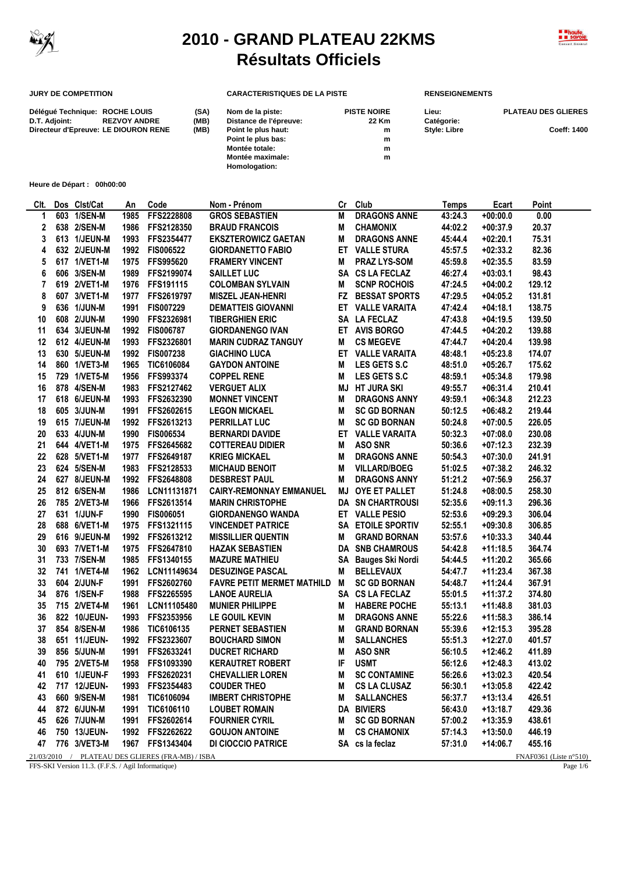

 $\overline{a}$ 

## **2010 - GRAND PLATEAU 22KMS Résultats Officiels**



## **JURY DE COMPETITION CARACTERISTIQUES DE LA PISTE RENSEIGNEMENTS**

| Déléqué Technique: ROCHE LOUIS<br>D.T. Adjoint: | <b>REZVOY ANDRE</b> | (SA)<br>(MB) | Nom de la piste:<br>Distance de l'épreuve: | <b>PISTE NOIRE</b><br>22 Km | Lieu:<br>Catégorie: | <b>PLATEAU DES GLIERES</b> |
|-------------------------------------------------|---------------------|--------------|--------------------------------------------|-----------------------------|---------------------|----------------------------|
| Directeur d'Epreuve: LE DIOURON RENE            |                     | (MB)         | Point le plus haut:                        | m                           | <b>Style: Libre</b> | <b>Coeff: 1400</b>         |
|                                                 |                     |              | Point le plus bas:                         | m                           |                     |                            |
|                                                 |                     |              | Montée totale:                             | m                           |                     |                            |
|                                                 |                     |              | Montée maximale:                           | m                           |                     |                            |
|                                                 |                     |              | Homologation:                              |                             |                     |                            |

**Heure de Départ : 00h00:00**

| CIt. | Dos Clst/Cat | An   | Code                                             | Nom - Prénom                      | Cr | Club                    | <b>Temps</b> | Ecart      | Point                  |
|------|--------------|------|--------------------------------------------------|-----------------------------------|----|-------------------------|--------------|------------|------------------------|
| 1    | 603 1/SEN-M  | 1985 | FFS2228808                                       | <b>GROS SEBASTIEN</b>             | M  | <b>DRAGONS ANNE</b>     | 43:24.3      | $+00:00.0$ | 0.00                   |
| 2    | 638 2/SEN-M  | 1986 | FFS2128350                                       | <b>BRAUD FRANCOIS</b>             | M  | <b>CHAMONIX</b>         | 44:02.2      | $+00:37.9$ | 20.37                  |
| 3    | 613 1/JEUN-M | 1993 | FFS2354477                                       | <b>EKSZTEROWICZ GAETAN</b>        | M  | <b>DRAGONS ANNE</b>     | 45:44.4      | $+02:20.1$ | 75.31                  |
| 4    | 632 2/JEUN-M |      | 1992 FIS006522                                   | <b>GIORDANETTO FABIO</b>          |    | ET VALLE STURA          | 45:57.5      | $+02:33.2$ | 82.36                  |
| 5    | 617 1/VET1-M | 1975 | FFS995620                                        | <b>FRAMERY VINCENT</b>            | M  | <b>PRAZ LYS-SOM</b>     | 45:59.8      | $+02:35.5$ | 83.59                  |
| 6    | 606 3/SEN-M  | 1989 | FFS2199074                                       | <b>SAILLET LUC</b>                |    | SA CS LA FECLAZ         | 46:27.4      | $+03:03.1$ | 98.43                  |
| 7    | 619 2/VET1-M |      | 1976 FFS191115                                   | <b>COLOMBAN SYLVAIN</b>           | M  | <b>SCNP ROCHOIS</b>     | 47:24.5      | $+04:00.2$ | 129.12                 |
| 8    | 607 3/VET1-M | 1977 | FFS2619797                                       | <b>MISZEL JEAN-HENRI</b>          | FZ | <b>BESSAT SPORTS</b>    | 47:29.5      | $+04:05.2$ | 131.81                 |
| 9    | 636 1/JUN-M  | 1991 | FIS007229                                        | <b>DEMATTEIS GIOVANNI</b>         |    | ET VALLE VARAITA        | 47:42.4      | $+04:18.1$ | 138.75                 |
| 10   | 608 2/JUN-M  | 1990 | FFS2326981                                       | <b>TIBERGHIEN ERIC</b>            |    | SA LA FECLAZ            | 47:43.8      | $+04:19.5$ | 139.50                 |
| 11   | 634 3/JEUN-M |      | 1992 FIS006787                                   | <b>GIORDANENGO IVAN</b>           |    | ET AVIS BORGO           | 47:44.5      | $+04:20.2$ | 139.88                 |
| 12   | 612 4/JEUN-M | 1993 | FFS2326801                                       | <b>MARIN CUDRAZ TANGUY</b>        | Μ  | <b>CS MEGEVE</b>        | 47:44.7      | $+04:20.4$ | 139.98                 |
| 13   | 630 5/JEUN-M | 1992 | <b>FIS007238</b>                                 | <b>GIACHINO LUCA</b>              |    | ET VALLE VARAITA        | 48:48.1      | $+05:23.8$ | 174.07                 |
| 14   | 860 1/VET3-M | 1965 | TIC6106084                                       | <b>GAYDON ANTOINE</b>             | M  | <b>LES GETS S.C</b>     | 48:51.0      | $+05:26.7$ | 175.62                 |
| 15   | 729 1/VET5-M | 1956 | FFS993374                                        | <b>COPPEL RENE</b>                | M  | <b>LES GETS S.C</b>     | 48:59.1      | $+05:34.8$ | 179.98                 |
| 16   | 878 4/SEN-M  | 1983 | FFS2127462                                       | <b>VERGUET ALIX</b>               | MJ | HT JURA SKI             | 49:55.7      | $+06:31.4$ | 210.41                 |
| 17   | 618 6/JEUN-M |      | 1993 FFS2632390                                  | <b>MONNET VINCENT</b>             | M  | DRAGONS ANNY            | 49:59.1      | $+06:34.8$ | 212.23                 |
| 18   | 605 3/JUN-M  | 1991 | FFS2602615                                       | <b>LEGON MICKAEL</b>              | M  | <b>SC GD BORNAN</b>     | 50:12.5      | $+06:48.2$ | 219.44                 |
| 19   | 615 7/JEUN-M | 1992 | FFS2613213                                       | PERRILLAT LUC                     | M  | <b>SC GD BORNAN</b>     | 50:24.8      | $+07:00.5$ | 226.05                 |
| 20   | 633 4/JUN-M  | 1990 | FIS006534                                        | <b>BERNARDI DAVIDE</b>            |    | ET VALLE VARAITA        | 50:32.3      | $+07:08.0$ | 230.08                 |
| 21   | 644 4/VET1-M |      | 1975 FFS2645682                                  | <b>COTTEREAU DIDIER</b>           | M  | <b>ASO SNR</b>          | 50:36.6      | $+07:12.3$ | 232.39                 |
| 22   | 628 5/VET1-M | 1977 | FFS2649187                                       | <b>KRIEG MICKAEL</b>              | M  | <b>DRAGONS ANNE</b>     | 50:54.3      | $+07:30.0$ | 241.91                 |
| 23   | 624 5/SEN-M  |      | 1983 FFS2128533                                  | <b>MICHAUD BENOIT</b>             | M  | <b>VILLARD/BOEG</b>     | 51:02.5      | $+07:38.2$ | 246.32                 |
| 24   | 627 8/JEUN-M |      | 1992 FFS2648808                                  | <b>DESBREST PAUL</b>              | М  | <b>DRAGONS ANNY</b>     | 51:21.2      | $+07:56.9$ | 256.37                 |
| 25   | 812 6/SEN-M  | 1986 | LCN11131871                                      | <b>CAIRY-REMONNAY EMMANUEL</b>    | MJ | OYE ET PALLET           | 51:24.8      | $+08:00.5$ | 258.30                 |
| 26   | 785 2/VET3-M | 1966 | FFS2613514                                       | <b>MARIN CHRISTOPHE</b>           |    | <b>DA SN CHARTROUSI</b> | 52:35.6      | $+09:11.3$ | 296.36                 |
| 27   | 631 1/JUN-F  | 1990 | <b>FIS006051</b>                                 | <b>GIORDANENGO WANDA</b>          |    | ET VALLE PESIO          | 52:53.6      | $+09:29.3$ | 306.04                 |
| 28   | 688 6/VET1-M | 1975 | FFS1321115                                       | <b>VINCENDET PATRICE</b>          |    | SA ETOILE SPORTIV       | 52:55.1      | $+09:30.8$ | 306.85                 |
| 29   | 616 9/JEUN-M |      | 1992 FFS2613212                                  | <b>MISSILLIER QUENTIN</b>         | Μ  | <b>GRAND BORNAN</b>     | 53:57.6      | $+10:33.3$ | 340.44                 |
|      |              |      |                                                  |                                   |    |                         |              |            |                        |
| 30   | 693 7/VET1-M |      | 1975 FFS2647810                                  | <b>HAZAK SEBASTIEN</b>            |    | <b>DA SNB CHAMROUS</b>  | 54:42.8      | $+11:18.5$ | 364.74                 |
| 31   | 733 7/SEN-M  | 1985 | FFS1340155                                       | <b>MAZURE MATHIEU</b>             |    | SA Bauges Ski Nordi     | 54:44.5      | $+11:20.2$ | 365.66                 |
| 32   | 741 1/VET4-M | 1962 | LCN11149634                                      | <b>DESUZINGE PASCAL</b>           | M  | <b>BELLEVAUX</b>        | 54:47.7      | $+11:23.4$ | 367.38                 |
| 33   | 604 2/JUN-F  | 1991 | FFS2602760                                       | <b>FAVRE PETIT MERMET MATHILD</b> | M  | <b>SC GD BORNAN</b>     | 54:48.7      | $+11:24.4$ | 367.91                 |
| 34   | 876 1/SEN-F  | 1988 | FFS2265595                                       | <b>LANOE AURELIA</b>              |    | SA CS LA FECLAZ         | 55:01.5      | $+11:37.2$ | 374.80                 |
| 35   | 715 2/VET4-M | 1961 | LCN11105480                                      | <b>MUNIER PHILIPPE</b>            | M  | <b>HABERE POCHE</b>     | 55:13.1      | $+11:48.8$ | 381.03                 |
| 36   | 822 10/JEUN- | 1993 | FFS2353956                                       | LE GOUIL KEVIN                    | M  | <b>DRAGONS ANNE</b>     | 55:22.6      | $+11:58.3$ | 386.14                 |
| 37   | 854 8/SEN-M  | 1986 | TIC6106135                                       | PERNET SEBASTIEN                  | M  | <b>GRAND BORNAN</b>     | 55:39.6      | $+12:15.3$ | 395.28                 |
| 38   | 651 11/JEUN- | 1992 | FFS2323607                                       | <b>BOUCHARD SIMON</b>             | M  | <b>SALLANCHES</b>       | 55:51.3      | $+12:27.0$ | 401.57                 |
| 39   | 856 5/JUN-M  | 1991 | FFS2633241                                       | <b>DUCRET RICHARD</b>             | M  | <b>ASO SNR</b>          | 56:10.5      | $+12:46.2$ | 411.89                 |
| 40   | 795 2/VET5-M |      | 1958 FFS1093390                                  | <b>KERAUTRET ROBERT</b>           | IF | <b>USMT</b>             | 56:12.6      | $+12:48.3$ | 413.02                 |
| 41   | 610 1/JEUN-F |      | 1993 FFS2620231                                  | <b>CHEVALLIER LOREN</b>           | M  | <b>SC CONTAMINE</b>     | 56:26.6      | $+13:02.3$ | 420.54                 |
| 42   | 717 12/JEUN- |      | 1993 FFS2354483                                  | <b>COUDER THEO</b>                | M  | <b>CS LA CLUSAZ</b>     | 56:30.1      | $+13:05.8$ | 422.42                 |
| 43   | 660 9/SEN-M  |      | 1981 TIC6106094                                  | <b>IMBERT CHRISTOPHE</b>          | M  | <b>SALLANCHES</b>       | 56:37.7      | $+13:13.4$ | 426.51                 |
| 44   | 872 6/JUN-M  |      | 1991 TIC6106110                                  | <b>LOUBET ROMAIN</b>              |    | <b>DA BIVIERS</b>       | 56:43.0      | $+13:18.7$ | 429.36                 |
| 45   | 626 7/JUN-M  |      | 1991 FFS2602614                                  | <b>FOURNIER CYRIL</b>             | M  | <b>SC GD BORNAN</b>     | 57:00.2      | $+13:35.9$ | 438.61                 |
| 46   | 750 13/JEUN- |      | 1992 FFS2262622                                  | <b>GOUJON ANTOINE</b>             | M  | <b>CS CHAMONIX</b>      | 57:14.3      | $+13:50.0$ | 446.19                 |
| 47   | 776 3/VET3-M |      | 1967 FFS1343404                                  | <b>DI CIOCCIO PATRICE</b>         |    | SA cs la feclaz         | 57:31.0      | +14:06.7   | 455.16                 |
|      |              |      | 21/03/2010 / PLATEAU DES GLIERES (FRA-MB) / ISBA |                                   |    |                         |              |            | FNAF0361 (Liste n°510) |

FFS-SKI Version 11.3. (F.F.S. / Agil Informatique) Page 1/6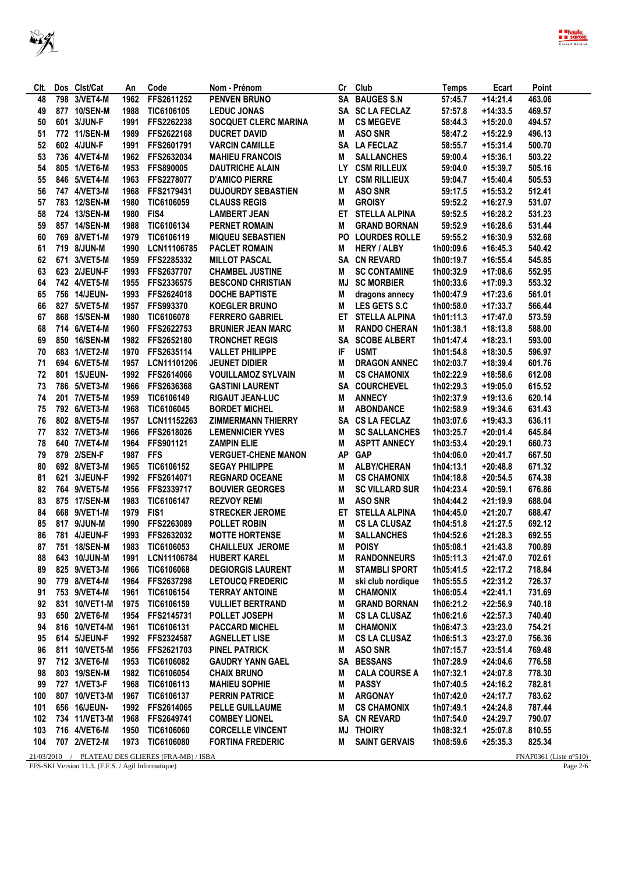



| CIt. | Dos Clst/Cat                                       | An   | Code                                             | Nom - Prénom                |           | Cr Club               | Temps     | Ecart      | Point                                          |
|------|----------------------------------------------------|------|--------------------------------------------------|-----------------------------|-----------|-----------------------|-----------|------------|------------------------------------------------|
| 48   | 798 3/VET4-M                                       | 1962 | FFS2611252                                       | <b>PENVEN BRUNO</b>         |           | SA BAUGES S.N         | 57:45.7   | $+14:21.4$ | 463.06                                         |
| 49   | 877 10/SEN-M                                       | 1988 | <b>TIC6106105</b>                                | <b>LEDUC JONAS</b>          |           | SA SC LA FECLAZ       | 57:57.8   | $+14:33.5$ | 469.57                                         |
| 50   | 601 3/JUN-F                                        | 1991 | FFS2262238                                       | <b>SOCQUET CLERC MARINA</b> | M         | <b>CS MEGEVE</b>      | 58:44.3   | $+15:20.0$ | 494.57                                         |
| 51   | 772 11/SEN-M                                       | 1989 | FFS2622168                                       | <b>DUCRET DAVID</b>         | Μ         | <b>ASO SNR</b>        | 58:47.2   | +15:22.9   | 496.13                                         |
| 52   | 602 4/JUN-F                                        | 1991 | FFS2601791                                       | <b>VARCIN CAMILLE</b>       |           | SA LA FECLAZ          | 58:55.7   | $+15:31.4$ | 500.70                                         |
| 53   | 736 4/VET4-M                                       | 1962 | FFS2632034                                       | <b>MAHIEU FRANCOIS</b>      | M         | <b>SALLANCHES</b>     | 59:00.4   | $+15:36.1$ | 503.22                                         |
| 54   | 805 1/VET6-M                                       | 1953 | <b>FFS890005</b>                                 | <b>DAUTRICHE ALAIN</b>      |           | LY CSM RILLEUX        | 59:04.0   | +15:39.7   | 505.16                                         |
| 55   | 846 5/VET4-M                                       | 1963 | FFS2278077                                       | <b>D'AMICO PIERRE</b>       |           | LY CSM RILLIEUX       | 59:04.7   | $+15:40.4$ | 505.53                                         |
| 56   | 747 4/VET3-M                                       | 1968 | FFS2179431                                       | <b>DUJOURDY SEBASTIEN</b>   | M         | <b>ASO SNR</b>        | 59:17.5   | $+15:53.2$ | 512.41                                         |
| 57   | 783 12/SEN-M                                       | 1980 | TIC6106059                                       | <b>CLAUSS REGIS</b>         | M         | <b>GROISY</b>         | 59:52.2   | $+16:27.9$ | 531.07                                         |
| 58   | 724 13/SEN-M                                       | 1980 | FIS4                                             | <b>LAMBERT JEAN</b>         | ET        | <b>STELLA ALPINA</b>  | 59:52.5   | $+16:28.2$ | 531.23                                         |
| 59   | 857 14/SEN-M                                       | 1988 | TIC6106134                                       | <b>PERNET ROMAIN</b>        | M         | <b>GRAND BORNAN</b>   | 59:52.9   | $+16:28.6$ | 531.44                                         |
| 60   | 769 8/VET1-M                                       | 1979 | TIC6106119                                       | <b>MIQUEU SEBASTIEN</b>     |           | PO LOURDES ROLLE      | 59:55.2   | $+16:30.9$ | 532.68                                         |
| 61   | 719 8/JUN-M                                        | 1990 | LCN11106785                                      | <b>PACLET ROMAIN</b>        | M         | <b>HERY / ALBY</b>    | 1h00:09.6 | $+16:45.3$ | 540.42                                         |
| 62   | 671 3/VET5-M                                       | 1959 | FFS2285332                                       | <b>MILLOT PASCAL</b>        |           | SA CN REVARD          | 1h00:19.7 | $+16:55.4$ | 545.85                                         |
| 63   | 623 2/JEUN-F                                       | 1993 | FFS2637707                                       | <b>CHAMBEL JUSTINE</b>      | M         | <b>SC CONTAMINE</b>   | 1h00:32.9 | $+17:08.6$ | 552.95                                         |
| 64   | 742 4/VET5-M                                       | 1955 | FFS2336575                                       | <b>BESCOND CHRISTIAN</b>    | MJ        | <b>SC MORBIER</b>     | 1h00:33.6 | $+17:09.3$ | 553.32                                         |
| 65   | 756 14/JEUN-                                       | 1993 | FFS2624018                                       | <b>DOCHE BAPTISTE</b>       | M         | dragons annecy        | 1h00:47.9 | $+17:23.6$ | 561.01                                         |
| 66   | 827 5/VET5-M                                       | 1957 | <b>FFS993370</b>                                 | <b>KOEGLER BRUNO</b>        | M         | LES GETS S.C          | 1h00:58.0 | $+17:33.7$ | 566.44                                         |
| 67   | 868 15/SEN-M                                       | 1980 | TIC6106078                                       | <b>FERRERO GABRIEL</b>      | ET        | <b>STELLA ALPINA</b>  | 1h01:11.3 | $+17:47.0$ | 573.59                                         |
| 68   | 714 6/VET4-M                                       | 1960 | FFS2622753                                       | <b>BRUNIER JEAN MARC</b>    | M         | <b>RANDO CHERAN</b>   | 1h01:38.1 | $+18:13.8$ | 588.00                                         |
|      |                                                    |      |                                                  | <b>TRONCHET REGIS</b>       |           |                       |           |            |                                                |
| 69   | 850 16/SEN-M                                       |      | 1982 FFS2652180                                  |                             | SA        | <b>SCOBE ALBERT</b>   | 1h01:47.4 | +18:23.1   | 593.00                                         |
| 70   | 683 1/VET2-M                                       | 1970 | FFS2635114                                       | <b>VALLET PHILIPPE</b>      | IF        | <b>USMT</b>           | 1h01:54.8 | +18:30.5   | 596.97                                         |
| 71   | 694 6/VET5-M                                       | 1957 | LCN11101206                                      | <b>JEUNET DIDIER</b>        | М         | <b>DRAGON ANNEC</b>   | 1h02:03.7 | +18:39.4   | 601.76                                         |
| 72   | 801 15/JEUN-                                       |      | 1992 FFS2614066                                  | <b>VOUILLAMOZ SYLVAIN</b>   | М         | <b>CS CHAMONIX</b>    | 1h02:22.9 | +18:58.6   | 612.08                                         |
| 73   | 786 5/VET3-M                                       | 1966 | FFS2636368                                       | <b>GASTINI LAURENT</b>      |           | SA COURCHEVEL         | 1h02:29.3 | $+19:05.0$ | 615.52                                         |
| 74   | 201 7/VET5-M                                       | 1959 | TIC6106149                                       | RIGAUT JEAN-LUC             | M         | <b>ANNECY</b>         | 1h02:37.9 | $+19:13.6$ | 620.14                                         |
| 75   | 792 6/VET3-M                                       | 1968 | TIC6106045                                       | <b>BORDET MICHEL</b>        | M         | <b>ABONDANCE</b>      | 1h02:58.9 | +19:34.6   | 631.43                                         |
| 76   | 802 8/VET5-M                                       | 1957 | LCN11152263                                      | <b>ZIMMERMANN THIERRY</b>   |           | SA CS LA FECLAZ       | 1h03:07.6 | $+19:43.3$ | 636.11                                         |
| 77   | 832 7/VET3-M                                       | 1966 | FFS2618026                                       | <b>LEMENNICIER YVES</b>     | M         | <b>SC SALLANCHES</b>  | 1h03:25.7 | $+20:01.4$ | 645.84                                         |
| 78   | 640 7/VET4-M                                       | 1964 | FFS901121                                        | <b>ZAMPIN ELIE</b>          | M         | <b>ASPTT ANNECY</b>   | 1h03:53.4 | $+20:29.1$ | 660.73                                         |
| 79   | 879 2/SEN-F                                        | 1987 | <b>FFS</b>                                       | <b>VERGUET-CHENE MANON</b>  | <b>AP</b> | <b>GAP</b>            | 1h04:06.0 | $+20:41.7$ | 667.50                                         |
| 80   | 692 8/VET3-M                                       | 1965 | TIC6106152                                       | <b>SEGAY PHILIPPE</b>       | M         | <b>ALBY/CHERAN</b>    | 1h04:13.1 | $+20:48.8$ | 671.32                                         |
| 81   | 621 3/JEUN-F                                       |      | 1992 FFS2614071                                  | <b>REGNARD OCEANE</b>       | M         | <b>CS CHAMONIX</b>    | 1h04:18.8 | $+20:54.5$ | 674.38                                         |
| 82   | 764 9/VET5-M                                       | 1956 | FFS2339717                                       | <b>BOUVIER GEORGES</b>      | M         | <b>SC VILLARD SUR</b> | 1h04:23.4 | $+20:59.1$ | 676.86                                         |
| 83   | 875 17/SEN-M                                       | 1983 | TIC6106147                                       | <b>REZVOY REMI</b>          | M         | <b>ASO SNR</b>        | 1h04:44.2 | +21:19.9   | 688.04                                         |
| 84   | 668 9/VET1-M                                       | 1979 | FIS1                                             | <b>STRECKER JEROME</b>      | ET        | <b>STELLA ALPINA</b>  | 1h04:45.0 | $+21:20.7$ | 688.47                                         |
| 85   | 817 9/JUN-M                                        |      | 1990 FFS2263089                                  | <b>POLLET ROBIN</b>         | М         | <b>CS LA CLUSAZ</b>   | 1h04:51.8 | $+21:27.5$ | 692.12                                         |
| 86   | 781 4/JEUN-F                                       |      | 1993 FFS2632032                                  | <b>MOTTE HORTENSE</b>       | M         | <b>SALLANCHES</b>     | 1h04:52.6 | $+21:28.3$ | 692.55                                         |
|      |                                                    |      | 87 751 18/SEN-M 1983 TIC6106053                  | CHAILLEUX JEROME            | M         | <b>POISY</b>          | 1h05:08.1 | $+21:43.8$ | 700.89                                         |
| 88   | 643 10/JUN-M                                       | 1991 | LCN11106784                                      | <b>HUBERT KAREL</b>         | М         | <b>RANDONNEURS</b>    | 1h05:11.3 | +21:47.0   | 702.61                                         |
| 89   | 825 9/VET3-M                                       | 1966 | TIC6106068                                       | <b>DEGIORGIS LAURENT</b>    | M         | <b>STAMBLI SPORT</b>  | 1h05:41.5 | +22:17.2   | 718.84                                         |
| 90   | 779 8/VET4-M                                       | 1964 | FFS2637298                                       | <b>LETOUCQ FREDERIC</b>     | M         | ski club nordique     | 1h05:55.5 | $+22:31.2$ | 726.37                                         |
| 91   | 753 9/VET4-M                                       | 1961 | TIC6106154                                       | <b>TERRAY ANTOINE</b>       | M         | <b>CHAMONIX</b>       | 1h06:05.4 | $+22:41.1$ | 731.69                                         |
| 92   | 831 10/VET1-M                                      | 1975 | TIC6106159                                       | <b>VULLIET BERTRAND</b>     | M         | <b>GRAND BORNAN</b>   | 1h06:21.2 | $+22:56.9$ | 740.18                                         |
| 93   | 650 2/VET6-M                                       | 1954 | FFS2145731                                       | POLLET JOSEPH               | M         | <b>CS LA CLUSAZ</b>   | 1h06:21.6 | $+22:57.3$ | 740.40                                         |
| 94   | 816 10/VET4-M                                      | 1961 | TIC6106131                                       | <b>PACCARD MICHEL</b>       | M         | <b>CHAMONIX</b>       | 1h06:47.3 | $+23:23.0$ | 754.21                                         |
| 95   | 614 5/JEUN-F                                       |      | 1992 FFS2324587                                  | <b>AGNELLET LISE</b>        | М         | <b>CS LA CLUSAZ</b>   | 1h06:51.3 | $+23:27.0$ | 756.36                                         |
| 96   | 811 10/VET5-M                                      | 1956 | FFS2621703                                       | PINEL PATRICK               | Μ         | <b>ASO SNR</b>        | 1h07:15.7 | $+23:51.4$ | 769.48                                         |
| 97   | 712 3/VET6-M                                       | 1953 | <b>TIC6106082</b>                                | <b>GAUDRY YANN GAEL</b>     | SA        | <b>BESSANS</b>        | 1h07:28.9 | $+24:04.6$ | 776.58                                         |
| 98   | 803 19/SEN-M                                       | 1982 | <b>TIC6106054</b>                                | <b>CHAIX BRUNO</b>          | M         | <b>CALA COURSE A</b>  | 1h07:32.1 | $+24:07.8$ | 778.30                                         |
| 99   | 727 1/VET3-F                                       | 1968 | TIC6106113                                       | <b>MAHIEU SOPHIE</b>        | M         | <b>PASSY</b>          | 1h07:40.5 | $+24:16.2$ | 782.81                                         |
| 100  | 807 10/VET3-M                                      | 1967 | TIC6106137                                       | <b>PERRIN PATRICE</b>       | M         | <b>ARGONAY</b>        | 1h07:42.0 | $+24:17.7$ | 783.62                                         |
| 101  | 656 16/JEUN-                                       |      | 1992 FFS2614065                                  | <b>PELLE GUILLAUME</b>      | Μ         | <b>CS CHAMONIX</b>    | 1h07:49.1 | $+24:24.8$ | 787.44                                         |
| 102  | 734 11/VET3-M                                      | 1968 | FFS2649741                                       | <b>COMBEY LIONEL</b>        |           | SA CN REVARD          | 1h07:54.0 | $+24:29.7$ | 790.07                                         |
| 103  | 716 4/VET6-M                                       | 1950 | TIC6106060                                       | <b>CORCELLE VINCENT</b>     |           | <b>MJ THOIRY</b>      | 1h08:32.1 | +25:07.8   | 810.55                                         |
| 104  | 707 2/VET2-M                                       |      | 1973 TIC6106080                                  | <b>FORTINA FREDERIC</b>     | M         | <b>SAINT GERVAIS</b>  | 1h08:59.6 | $+25:35.3$ | 825.34                                         |
|      |                                                    |      |                                                  |                             |           |                       |           |            |                                                |
|      | FFS-SKI Version 11.3. (F.F.S. / Agil Informatique) |      | 21/03/2010 / PLATEAU DES GLIERES (FRA-MB) / ISBA |                             |           |                       |           |            | FNAF0361 (Liste $n^{\circ}510$ )<br>Page $2/6$ |
|      |                                                    |      |                                                  |                             |           |                       |           |            |                                                |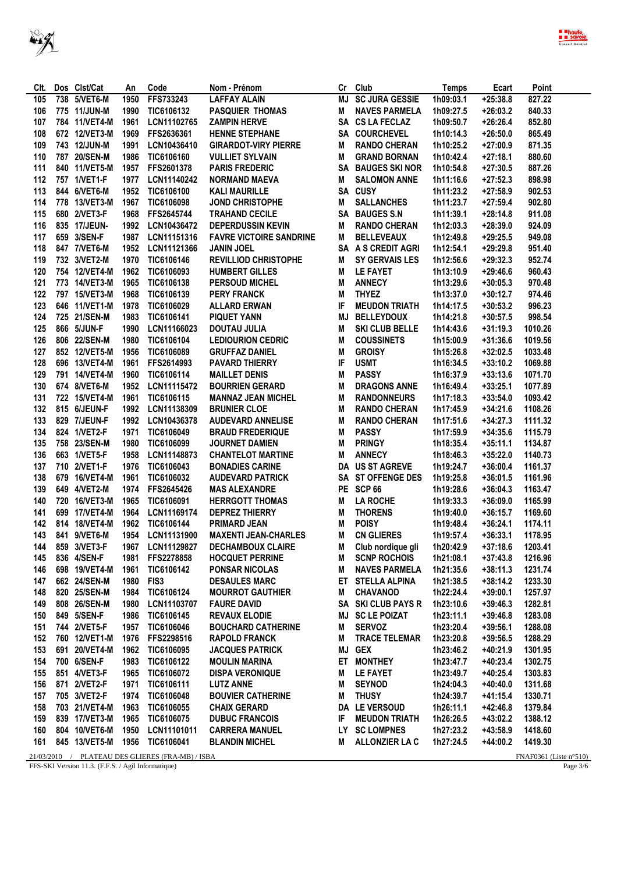

|             | Dos Clst/Cat                                       |            | Code                                  |                                     |           | Club                  |                    | Ecart      | Point                            |
|-------------|----------------------------------------------------|------------|---------------------------------------|-------------------------------------|-----------|-----------------------|--------------------|------------|----------------------------------|
| CIt.<br>105 | 738 5/VET6-M                                       | An<br>1950 | FFS733243                             | Nom - Prénom<br><b>LAFFAY ALAIN</b> | Cr<br>MJ  | <b>SC JURA GESSIE</b> | Temps<br>1h09:03.1 | $+25:38.8$ | 827.22                           |
| 106         | 775 11/JUN-M                                       | 1990       | TIC6106132                            | <b>PASQUIER THOMAS</b>              | M         | <b>NAVES PARMELA</b>  | 1h09:27.5          | $+26:03.2$ | 840.33                           |
| 107         | 784 11/VET4-M                                      | 1961       | LCN11102765                           | <b>ZAMPIN HERVE</b>                 |           | SA CS LA FECLAZ       | 1h09:50.7          | $+26:26.4$ | 852.80                           |
| 108         | 672 12/VET3-M                                      | 1969       | FFS2636361                            | <b>HENNE STEPHANE</b>               |           | SA COURCHEVEL         | 1h10:14.3          | $+26:50.0$ | 865.49                           |
| 109         | 743 12/JUN-M                                       | 1991       | LCN10436410                           | <b>GIRARDOT-VIRY PIERRE</b>         | M         | <b>RANDO CHERAN</b>   | 1h10:25.2          | $+27:00.9$ | 871.35                           |
| 110         | 787 20/SEN-M                                       | 1986       | TIC6106160                            | <b>VULLIET SYLVAIN</b>              | М         | <b>GRAND BORNAN</b>   | 1h10:42.4          | $+27:18.1$ | 880.60                           |
| 111         | 840 11/VET5-M                                      | 1957       | FFS2601378                            | <b>PARIS FREDERIC</b>               | SA        | <b>BAUGES SKI NOR</b> | 1h10:54.8          | $+27:30.5$ | 887.26                           |
| 112         | 757 1/VET1-F                                       | 1977       | LCN11140242                           | <b>NORMAND MAEVA</b>                | M         | <b>SALOMON ANNE</b>   | 1h11:16.6          | $+27:52.3$ | 898.98                           |
| 113         | 844 6/VET6-M                                       | 1952       | TIC6106100                            | <b>KALI MAURILLE</b>                |           | SA CUSY               | 1h11:23.2          | $+27:58.9$ | 902.53                           |
| 114         | 778 13/VET3-M                                      | 1967       | TIC6106098                            | <b>JOND CHRISTOPHE</b>              | Μ         | <b>SALLANCHES</b>     | 1h11:23.7          | $+27:59.4$ | 902.80                           |
| 115         | 680 2/VET3-F                                       | 1968       | FFS2645744                            | <b>TRAHAND CECILE</b>               | <b>SA</b> | <b>BAUGES S.N</b>     | 1h11:39.1          | $+28:14.8$ | 911.08                           |
| 116         | 835 17/JEUN-                                       | 1992       | LCN10436472                           | <b>DEPERDUSSIN KEVIN</b>            | M         | <b>RANDO CHERAN</b>   | 1h12:03.3          | $+28:39.0$ | 924.09                           |
| 117         | 659 3/SEN-F                                        | 1987       | LCN11151316                           | <b>FAVRE VICTOIRE SANDRINE</b>      | М         | <b>BELLEVEAUX</b>     | 1h12:49.8          | $+29:25.5$ | 949.08                           |
| 118         | 847 7/VET6-M                                       | 1952       | LCN11121366                           | <b>JANIN JOEL</b>                   |           | SA A S CREDIT AGRI    | 1h12:54.1          | $+29:29.8$ | 951.40                           |
| 119         | 732 3/VET2-M                                       | 1970       | TIC6106146                            | <b>REVILLIOD CHRISTOPHE</b>         | M         | <b>SY GERVAIS LES</b> | 1h12:56.6          | $+29:32.3$ | 952.74                           |
| 120         | 754 12/VET4-M                                      | 1962       | TIC6106093                            | <b>HUMBERT GILLES</b>               | M         | <b>LE FAYET</b>       | 1h13:10.9          | $+29:46.6$ | 960.43                           |
| 121         | 773 14/VET3-M                                      | 1965       | TIC6106138                            | <b>PERSOUD MICHEL</b>               | М         | <b>ANNECY</b>         | 1h13:29.6          | $+30:05.3$ | 970.48                           |
| 122         | 797 15/VET3-M                                      | 1968       | TIC6106139                            | <b>PERY FRANCK</b>                  | M         | <b>THYEZ</b>          | 1h13:37.0          | $+30:12.7$ | 974.46                           |
| 123         | 646 11/VET1-M                                      | 1978       | TIC6106029                            | <b>ALLARD ERWAN</b>                 | IF        | <b>MEUDON TRIATH</b>  | 1h14:17.5          | $+30:53.2$ | 996.23                           |
| 124         | 725 21/SEN-M                                       | 1983       | TIC6106141                            | <b>PIQUET YANN</b>                  | MJ        | <b>BELLEYDOUX</b>     | 1h14:21.8          | $+30:57.5$ | 998.54                           |
| 125         | 866 5/JUN-F                                        | 1990       | LCN11166023                           | <b>DOUTAU JULIA</b>                 | M         | <b>SKI CLUB BELLE</b> | 1h14:43.6          | $+31:19.3$ | 1010.26                          |
| 126         | 806 22/SEN-M                                       | 1980       | TIC6106104                            | <b>LEDIOURION CEDRIC</b>            | M         | <b>COUSSINETS</b>     | 1h15:00.9          | $+31:36.6$ | 1019.56                          |
| 127         | 852 12/VET5-M                                      | 1956       | TIC6106089                            | <b>GRUFFAZ DANIEL</b>               | М         | <b>GROISY</b>         | 1h15:26.8          | $+32:02.5$ | 1033.48                          |
| 128         | 696 13/VET4-M                                      | 1961       | FFS2614993                            | <b>PAVARD THIERRY</b>               | IF        | <b>USMT</b>           | 1h16:34.5          | $+33:10.2$ | 1069.88                          |
| 129         | 791 14/VET4-M                                      | 1960       | TIC6106114                            | <b>MAILLET DENIS</b>                | М         | <b>PASSY</b>          | 1h16:37.9          | $+33:13.6$ | 1071.70                          |
| 130         | 674 8/VET6-M                                       | 1952       | LCN11115472                           | <b>BOURRIEN GERARD</b>              | M         | <b>DRAGONS ANNE</b>   | 1h16:49.4          | $+33:25.1$ | 1077.89                          |
| 131         | 722 15/VET4-M                                      | 1961       | TIC6106115                            | <b>MANNAZ JEAN MICHEL</b>           | M         | <b>RANDONNEURS</b>    | 1h17:18.3          | $+33:54.0$ | 1093.42                          |
| 132         | 815 6/JEUN-F                                       | 1992       | LCN11138309                           | <b>BRUNIER CLOE</b>                 | M         | <b>RANDO CHERAN</b>   | 1h17:45.9          | $+34:21.6$ | 1108.26                          |
| 133         | 829 7/JEUN-F                                       | 1992       | LCN10436378                           | <b>AUDEVARD ANNELISE</b>            | M         | <b>RANDO CHERAN</b>   | 1h17:51.6          | $+34:27.3$ | 1111.32                          |
| 134         | 824 1/VET2-F                                       | 1971       | TIC6106049                            | <b>BRAUD FREDERIQUE</b>             | М         | <b>PASSY</b>          | 1h17:59.9          | $+34:35.6$ | 1115.79                          |
| 135         | 758 23/SEN-M                                       | 1980       | TIC6106099                            | <b>JOURNET DAMIEN</b>               | M         | <b>PRINGY</b>         | 1h18:35.4          | $+35:11.1$ | 1134.87                          |
| 136         | 663 1/VET5-F                                       | 1958       | LCN11148873                           | <b>CHANTELOT MARTINE</b>            | M         | <b>ANNECY</b>         | 1h18:46.3          | $+35:22.0$ | 1140.73                          |
| 137         | 710 2/VET1-F                                       | 1976       | TIC6106043                            | <b>BONADIES CARINE</b>              |           | DA US ST AGREVE       | 1h19:24.7          | $+36:00.4$ | 1161.37                          |
| 138         | 679 16/VET4-M                                      | 1961       | TIC6106032                            | <b>AUDEVARD PATRICK</b>             |           | SA ST OFFENGE DES     | 1h19:25.8          | $+36:01.5$ | 1161.96                          |
| 139         | 649 4/VET2-M                                       | 1974       | FFS2645426                            | <b>MAS ALEXANDRE</b>                | PE        | <b>SCP 66</b>         | 1h19:28.6          | $+36:04.3$ | 1163.47                          |
| 140         | 720 16/VET3-M                                      | 1965       | TIC6106091                            | <b>HERRGOTT THOMAS</b>              | Μ         | <b>LA ROCHE</b>       | 1h19:33.3          | $+36:09.0$ | 1165.99                          |
| 141         | 699 17/VET4-M                                      | 1964       | LCN11169174                           | <b>DEPREZ THIERRY</b>               | M         | <b>THORENS</b>        | 1h19:40.0          | $+36:15.7$ | 1169.60                          |
| 142         | 814 18/VET4-M                                      | 1962       | TIC6106144                            | <b>PRIMARD JEAN</b>                 | М         | <b>POISY</b>          | 1h19:48.4          | $+36:24.1$ | 1174.11                          |
| 143         | 841 9/VET6-M                                       | 1954       | LCN11131900                           | <b>MAXENTI JEAN-CHARLES</b>         | M         | <b>CN GLIERES</b>     | 1h19:57.4          | $+36:33.1$ | 1178.95                          |
| 144         | 859 3/VET3-F                                       | 1967       | LCN11129827                           | <b>DECHAMBOUX CLAIRE</b>            | Μ         | Club nordique gli     | 1h20:42.9          | $+37:18.6$ | 1203.41                          |
| 145         | 836 4/SEN-F                                        | 1981       | FFS2278858                            | <b>HOCQUET PERRINE</b>              | Μ         | <b>SCNP ROCHOIS</b>   | 1h21:08.1          | $+37:43.8$ | 1216.96                          |
| 146         | 698 19/VET4-M                                      | 1961       | TIC6106142                            | PONSAR NICOLAS                      | M         | <b>NAVES PARMELA</b>  | 1h21:35.6          | $+38:11.3$ | 1231.74                          |
| 147         | 662 24/SEN-M                                       | 1980       | FIS3                                  | <b>DESAULES MARC</b>                | ET        | <b>STELLA ALPINA</b>  | 1h21:38.5          | $+38:14.2$ | 1233.30                          |
| 148         | 820 25/SEN-M                                       | 1984       | TIC6106124                            | <b>MOURROT GAUTHIER</b>             | M         | CHAVANOD              | 1h22:24.4          | $+39:00.1$ | 1257.97                          |
| 149         | 808 26/SEN-M                                       | 1980       | LCN11103707                           | <b>FAURE DAVID</b>                  |           | SA SKI CLUB PAYS R    | 1h23:10.6          | $+39:46.3$ | 1282.81                          |
| 150         | 849 5/SEN-F                                        | 1986       | TIC6106145                            | <b>REVAUX ELODIE</b>                | MJ        | <b>SC LE POIZAT</b>   | 1h23:11.1          | $+39:46.8$ | 1283.08                          |
| 151         | 744 2/VET5-F                                       | 1957       | TIC6106046                            | <b>BOUCHARD CATHERINE</b>           | M         | <b>SERVOZ</b>         | 1h23:20.4          | $+39:56.1$ | 1288.08                          |
| 152         | 760 12/VET1-M                                      | 1976       | FFS2298516                            | <b>RAPOLD FRANCK</b>                | M         | <b>TRACE TELEMAR</b>  | 1h23:20.8          | $+39:56.5$ | 1288.29                          |
| 153         | 691 20/VET4-M                                      | 1962       | <b>TIC6106095</b>                     | <b>JACQUES PATRICK</b>              | MJ        | <b>GEX</b>            | 1h23:46.2          | $+40:21.9$ | 1301.95                          |
| 154         | 700 6/SEN-F                                        | 1983       | TIC6106122                            | <b>MOULIN MARINA</b>                | ET        | <b>MONTHEY</b>        | 1h23:47.7          | +40:23.4   | 1302.75                          |
| 155         | 851 4/VET3-F                                       | 1965       | TIC6106072                            | <b>DISPA VERONIQUE</b>              | M         | LE FAYET              | 1h23:49.7          | $+40:25.4$ | 1303.83                          |
| 156         | 871 2/VET2-F                                       | 1971       | TIC6106111                            | <b>LUTZ ANNE</b>                    | M         | <b>SEYNOD</b>         | 1h24:04.3          | +40:40.0   | 1311.68                          |
| 157         | 705 3/VET2-F                                       | 1974       | TIC6106048                            | <b>BOUVIER CATHERINE</b>            | M         | <b>THUSY</b>          | 1h24:39.7          | $+41:15.4$ | 1330.71                          |
| 158         | 703 21/VET4-M                                      | 1963       | TIC6106055                            | <b>CHAIX GERARD</b>                 |           | DA LE VERSOUD         | 1h26:11.1          | $+42:46.8$ | 1379.84                          |
| 159         | 839 17/VET3-M                                      | 1965       | TIC6106075                            | <b>DUBUC FRANCOIS</b>               | IF        | <b>MEUDON TRIATH</b>  | 1h26:26.5          | $+43:02.2$ | 1388.12                          |
| 160         | 804 10/VET6-M                                      | 1950       | LCN11101011                           | <b>CARRERA MANUEL</b>               | LY.       | <b>SC LOMPNES</b>     | 1h27:23.2          | +43:58.9   | 1418.60                          |
| 161         | 845 13/VET5-M                                      | 1956       | <b>TIC6106041</b>                     | <b>BLANDIN MICHEL</b>               | M         | ALLONZIER LA C        | 1h27:24.5          | +44:00.2   | 1419.30                          |
| 21/03/2010  |                                                    |            | / PLATEAU DES GLIERES (FRA-MB) / ISBA |                                     |           |                       |                    |            | FNAF0361 (Liste $n^{\circ}510$ ) |
|             | FFS-SKI Version 11.3. (F.F.S. / Agil Informatique) |            |                                       |                                     |           |                       |                    |            | Page $3/6$                       |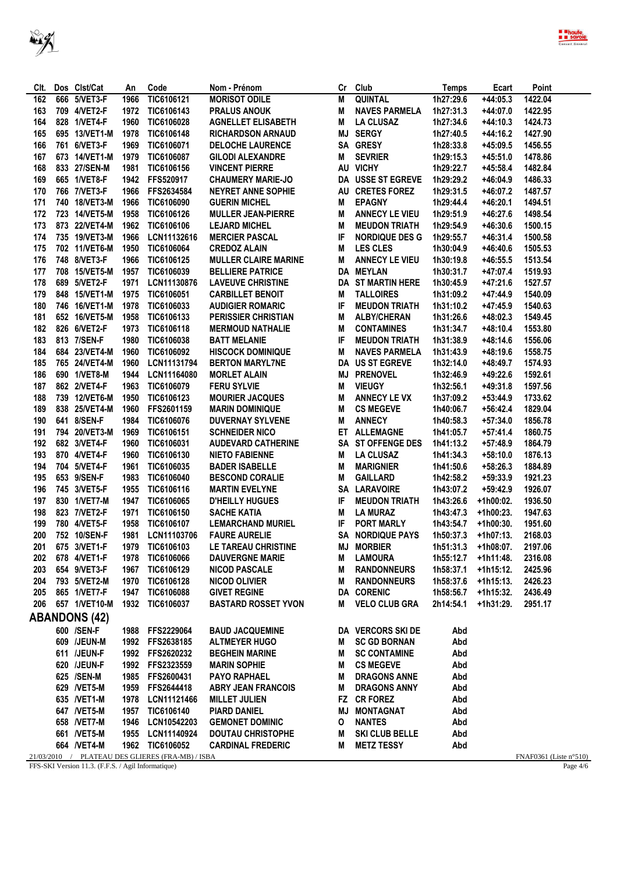

| CIt. | Dos Clst/Cat         | An   | Code                                             | Nom - Prénom                | Cr | Club                     | Temps     | Ecart       | Point                     |
|------|----------------------|------|--------------------------------------------------|-----------------------------|----|--------------------------|-----------|-------------|---------------------------|
| 162  | 666 5/VET3-F         | 1966 | TIC6106121                                       | <b>MORISOT ODILE</b>        | M  | QUINTAL                  | 1h27:29.6 | $+44:05.3$  | 1422.04                   |
| 163  | 709 4/VET2-F         | 1972 | TIC6106143                                       | <b>PRALUS ANOUK</b>         | M  | <b>NAVES PARMELA</b>     | 1h27:31.3 | $+44:07.0$  | 1422.95                   |
| 164  | 828 1/VET4-F         | 1960 | TIC6106028                                       | <b>AGNELLET ELISABETH</b>   | M  | <b>LA CLUSAZ</b>         | 1h27:34.6 | $+44:10.3$  | 1424.73                   |
| 165  | 695 13/VET1-M        | 1978 | TIC6106148                                       | <b>RICHARDSON ARNAUD</b>    |    | <b>MJ SERGY</b>          | 1h27:40.5 | $+44:16.2$  | 1427.90                   |
| 166  | 761 6/VET3-F         | 1969 | TIC6106071                                       | <b>DELOCHE LAURENCE</b>     |    | SA GRESY                 | 1h28:33.8 | $+45:09.5$  | 1456.55                   |
| 167  | 673 14/VET1-M        | 1979 | TIC6106087                                       | <b>GILODI ALEXANDRE</b>     | M  | <b>SEVRIER</b>           | 1h29:15.3 | $+45:51.0$  | 1478.86                   |
| 168  | 833 27/SEN-M         | 1981 | TIC6106156                                       | <b>VINCENT PIERRE</b>       |    | AU VICHY                 | 1h29:22.7 | $+45:58.4$  | 1482.84                   |
|      |                      |      |                                                  |                             |    |                          |           |             |                           |
| 169  | 665 1/VET8-F         | 1942 | FFS520917                                        | <b>CHAUMERY MARIE-JO</b>    |    | <b>DA USSE ST EGREVE</b> | 1h29:29.2 | $+46:04.9$  | 1486.33                   |
| 170  | 766 7/VET3-F         | 1966 | FFS2634584                                       | <b>NEYRET ANNE SOPHIE</b>   |    | AU CRETES FOREZ          | 1h29:31.5 | $+46:07.2$  | 1487.57                   |
| 171  | 740 18/VET3-M        | 1966 | TIC6106090                                       | <b>GUERIN MICHEL</b>        | M  | <b>EPAGNY</b>            | 1h29:44.4 | $+46:20.1$  | 1494.51                   |
| 172  | 723 14/VET5-M        | 1958 | TIC6106126                                       | <b>MULLER JEAN-PIERRE</b>   | М  | <b>ANNECY LE VIEU</b>    | 1h29:51.9 | $+46:27.6$  | 1498.54                   |
| 173  | 873 22/VET4-M        | 1962 | TIC6106106                                       | <b>LEJARD MICHEL</b>        | M  | <b>MEUDON TRIATH</b>     | 1h29:54.9 | $+46:30.6$  | 1500.15                   |
| 174  | 735 19/VET3-M        | 1966 | LCN11132616                                      | <b>MERCIER PASCAL</b>       | IF | NORDIQUE DES G           | 1h29:55.7 | $+46:31.4$  | 1500.58                   |
| 175  | 702 11/VET6-M        | 1950 | TIC6106064                                       | <b>CREDOZ ALAIN</b>         | M  | <b>LES CLES</b>          | 1h30:04.9 | $+46:40.6$  | 1505.53                   |
| 176  | 748 8/VET3-F         | 1966 | TIC6106125                                       | <b>MULLER CLAIRE MARINE</b> | M  | <b>ANNECY LE VIEU</b>    | 1h30:19.8 | +46:55.5    | 1513.54                   |
| 177  | 708 15/VET5-M        | 1957 | TIC6106039                                       | <b>BELLIERE PATRICE</b>     |    | DA MEYLAN                | 1h30:31.7 | $+47:07.4$  | 1519.93                   |
| 178  | 689 5/VET2-F         | 1971 | LCN11130876                                      | <b>LAVEUVE CHRISTINE</b>    |    | <b>DA ST MARTIN HERE</b> | 1h30:45.9 | $+47:21.6$  | 1527.57                   |
| 179  | 848 15/VET1-M        | 1975 | TIC6106051                                       | <b>CARBILLET BENOIT</b>     | M  | <b>TALLOIRES</b>         | 1h31:09.2 | $+47:44.9$  | 1540.09                   |
| 180  | 746 16/VET1-M        | 1978 | TIC6106033                                       | <b>AUDIGIER ROMARIC</b>     | IF | <b>MEUDON TRIATH</b>     | 1h31:10.2 | $+47:45.9$  | 1540.63                   |
| 181  | 652 16/VET5-M        | 1958 | TIC6106133                                       | <b>PERISSIER CHRISTIAN</b>  | M  | <b>ALBY/CHERAN</b>       | 1h31:26.6 | $+48:02.3$  | 1549.45                   |
| 182  | 826 6/VET2-F         | 1973 | TIC6106118                                       | <b>MERMOUD NATHALIE</b>     | M  | <b>CONTAMINES</b>        | 1h31:34.7 | $+48:10.4$  | 1553.80                   |
| 183  | 813 7/SEN-F          | 1980 | TIC6106038                                       | <b>BATT MELANIE</b>         | IF | <b>MEUDON TRIATH</b>     | 1h31:38.9 | $+48:14.6$  | 1556.06                   |
| 184  | 684 23/VET4-M        | 1960 | TIC6106092                                       | <b>HISCOCK DOMINIQUE</b>    | M  | <b>NAVES PARMELA</b>     | 1h31:43.9 | $+48:19.6$  | 1558.75                   |
| 185  | 765 24/VET4-M        | 1960 | LCN11131794                                      | <b>BERTON MARYL7NE</b>      | DA | <b>US ST EGREVE</b>      | 1h32:14.0 | $+48:49.7$  | 1574.93                   |
|      | 690 1/VET8-M         | 1944 |                                                  |                             |    | <b>PRENOVEL</b>          |           | $+49:22.6$  | 1592.61                   |
| 186  |                      |      | LCN11164080                                      | <b>MORLET ALAIN</b>         | MJ |                          | 1h32:46.9 |             |                           |
| 187  | 862 2/VET4-F         | 1963 | TIC6106079                                       | <b>FERU SYLVIE</b>          | M  | <b>VIEUGY</b>            | 1h32:56.1 | $+49:31.8$  | 1597.56                   |
| 188  | 739 12/VET6-M        | 1950 | TIC6106123                                       | <b>MOURIER JACQUES</b>      | M  | <b>ANNECY LE VX</b>      | 1h37:09.2 | $+53:44.9$  | 1733.62                   |
| 189  | 838 25/VET4-M        | 1960 | FFS2601159                                       | <b>MARIN DOMINIQUE</b>      | M  | <b>CS MEGEVE</b>         | 1h40:06.7 | +56:42.4    | 1829.04                   |
| 190  | 641 8/SEN-F          | 1984 | TIC6106076                                       | <b>DUVERNAY SYLVENE</b>     | M  | <b>ANNECY</b>            | 1h40:58.3 | $+57:34.0$  | 1856.78                   |
| 191  | 794 20/VET3-M        | 1969 | TIC6106151                                       | <b>SCHNEIDER NICO</b>       |    | ET ALLEMAGNE             | 1h41:05.7 | $+57:41.4$  | 1860.75                   |
| 192  | 682 3/VET4-F         | 1960 | TIC6106031                                       | <b>AUDEVARD CATHERINE</b>   |    | SA ST OFFENGE DES        | 1h41:13.2 | $+57:48.9$  | 1864.79                   |
| 193  | 870 4/VET4-F         | 1960 | TIC6106130                                       | <b>NIETO FABIENNE</b>       | M  | <b>LA CLUSAZ</b>         | 1h41:34.3 | $+58:10.0$  | 1876.13                   |
| 194  | 704 5/VET4-F         | 1961 | TIC6106035                                       | <b>BADER ISABELLE</b>       | М  | <b>MARIGNIER</b>         | 1h41:50.6 | $+58:26.3$  | 1884.89                   |
| 195  | 653 9/SEN-F          | 1983 | TIC6106040                                       | <b>BESCOND CORALIE</b>      | M  | <b>GAILLARD</b>          | 1h42:58.2 | $+59:33.9$  | 1921.23                   |
| 196  | 745 3/VET5-F         | 1955 | TIC6106116                                       | <b>MARTIN EVELYNE</b>       |    | <b>SA LARAVOIRE</b>      | 1h43:07.2 | $+59:42.9$  | 1926.07                   |
| 197  | 830 1/VET7-M         | 1947 | TIC6106065                                       | <b>D'HEILLY HUGUES</b>      | IF | <b>MEUDON TRIATH</b>     | 1h43:26.6 | +1h00:02.   | 1936.50                   |
| 198  | 823 7/VET2-F         | 1971 | TIC6106150                                       | <b>SACHE KATIA</b>          | M  | <b>LA MURAZ</b>          | 1h43:47.3 | +1h00:23.   | 1947.63                   |
| 199  | 780 4/VET5-F         | 1958 | TIC6106107                                       | <b>LEMARCHAND MURIEL</b>    | IF | <b>PORT MARLY</b>        | 1h43:54.7 | +1h00:30.   | 1951.60                   |
| 200  | 752 10/SEN-F         | 1981 | LCN11103706                                      | <b>FAURE AURELIE</b>        |    | <b>SA NORDIQUE PAYS</b>  | 1h50:37.3 | $+1h07:13.$ | 2168.03                   |
| 201  | 675 3/VET1-F         | 1979 | TIC6106103                                       | LE TAREAU CHRISTINE         | MJ | <b>MORBIER</b>           | 1h51:31.3 | +1h08:07.   | 2197.06                   |
| 202  | 678 4/VET1-F         | 1978 | <b>TIC6106066</b>                                | <b>DAUVERGNE MARIE</b>      | M  | <b>LAMOURA</b>           | 1h55:12.7 | +1h11:48.   | 2316.08                   |
| 203  | 654 9/VET3-F         | 1967 | TIC6106129                                       | <b>NICOD PASCALE</b>        | M  | <b>RANDONNEURS</b>       | 1h58:37.1 | +1h15:12.   | 2425.96                   |
| 204  | 793 5/VET2-M         | 1970 | TIC6106128                                       | <b>NICOD OLIVIER</b>        | M  | <b>RANDONNEURS</b>       | 1h58:37.6 | $+1h15:13.$ | 2426.23                   |
| 205  |                      |      |                                                  | <b>GIVET REGINE</b>         |    | <b>DA CORENIC</b>        |           |             |                           |
|      | 865 1/VET7-F         | 1947 | <b>TIC6106088</b>                                |                             |    |                          | 1h58:56.7 | +1h15:32.   | 2436.49                   |
| 206  | 657 1/VET10-M        |      | 1932 TIC6106037                                  | <b>BASTARD ROSSET YVON</b>  | М  | <b>VELO CLUB GRA</b>     | 2h14:54.1 | +1h31:29.   | 2951.17                   |
|      | <b>ABANDONS (42)</b> |      |                                                  |                             |    |                          |           |             |                           |
|      | 600 /SEN-F           | 1988 | FFS2229064                                       | <b>BAUD JACQUEMINE</b>      |    | DA VERCORS SKI DE        | Abd       |             |                           |
|      | 609 /JEUN-M          |      | 1992 FFS2638185                                  | <b>ALTMEYER HUGO</b>        | M  | <b>SC GD BORNAN</b>      | Abd       |             |                           |
|      | 611 /JEUN-F          |      | 1992 FFS2620232                                  | <b>BEGHEIN MARINE</b>       | м  | <b>SC CONTAMINE</b>      | Abd       |             |                           |
|      | 620 /JEUN-F          |      | 1992 FFS2323559                                  | <b>MARIN SOPHIE</b>         | M  | <b>CS MEGEVE</b>         | Abd       |             |                           |
|      | 625 /SEN-M           | 1985 | FFS2600431                                       | <b>PAYO RAPHAEL</b>         | M  | <b>DRAGONS ANNE</b>      | Abd       |             |                           |
|      | 629 / VET5-M         |      | 1959 FFS2644418                                  | <b>ABRY JEAN FRANCOIS</b>   | M  | <b>DRAGONS ANNY</b>      | Abd       |             |                           |
|      | 635 /VET1-M          | 1978 | LCN11121466                                      | <b>MILLET JULIEN</b>        |    | FZ CR FOREZ              | Abd       |             |                           |
|      | 647 /VET5-M          |      | 1957 TIC6106140                                  | <b>PIARD DANIEL</b>         | MJ | <b>MONTAGNAT</b>         | Abd       |             |                           |
|      | 658 /VET7-M          | 1946 | LCN10542203                                      | <b>GEMONET DOMINIC</b>      | 0  | <b>NANTES</b>            | Abd       |             |                           |
|      |                      |      | 1955 LCN11140924                                 | <b>DOUTAU CHRISTOPHE</b>    |    |                          | Abd       |             |                           |
|      | 661 /VET5-M          |      |                                                  |                             | м  | SKI CLUB BELLE           | Abd       |             |                           |
|      | 664 / VET4-M         |      | 1962 TIC6106052                                  | <b>CARDINAL FREDERIC</b>    | М  | <b>METZ TESSY</b>        |           |             |                           |
|      |                      |      | 21/03/2010 / PLATEAU DES GLIERES (FRA-MB) / ISBA |                             |    |                          |           |             | FNAF0361 (Liste $n°510$ ) |

FFS-SKI Version 11.3. (F.F.S. / Agil Informatique)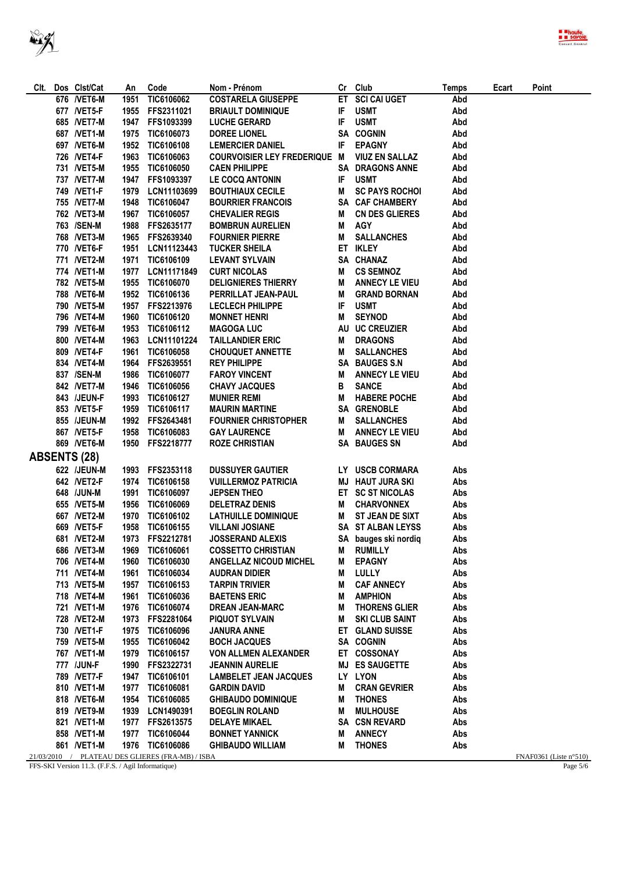| Clt.                | Dos Clst/Cat                 | An           | Code                                             | Nom - Prénom                                         |    | Cr Club                                       | Temps      | Ecart | Point                              |
|---------------------|------------------------------|--------------|--------------------------------------------------|------------------------------------------------------|----|-----------------------------------------------|------------|-------|------------------------------------|
|                     | 676 / VET6-M                 | 1951         | TIC6106062                                       | <b>COSTARELA GIUSEPPE</b>                            |    | ET SCI CAI UGET                               | Abd        |       |                                    |
|                     | 677 / <b>NET5-F</b>          | 1955         | FFS2311021                                       | <b>BRIAULT DOMINIQUE</b>                             | IF | <b>USMT</b>                                   | Abd        |       |                                    |
|                     | 685 /VET7-M                  |              | 1947 FFS1093399                                  | <b>LUCHE GERARD</b>                                  |    | IF USMT                                       | Abd        |       |                                    |
|                     | 687 / VET1-M                 |              | 1975 TIC6106073                                  | <b>DOREE LIONEL</b>                                  |    | SA COGNIN                                     | Abd        |       |                                    |
|                     | 697 / VET6-M                 |              | 1952 TIC6106108                                  | <b>LEMERCIER DANIEL</b>                              | IF | <b>EPAGNY</b>                                 | Abd        |       |                                    |
|                     | 726 NET4-F                   |              | 1963 TIC6106063                                  | <b>COURVOISIER LEY FREDERIQUE M</b>                  |    | <b>VIUZ EN SALLAZ</b>                         | Abd        |       |                                    |
|                     | 731 /VET5-M                  |              | 1955 TIC6106050                                  | <b>CAEN PHILIPPE</b>                                 |    | <b>SA DRAGONS ANNE</b>                        | Abd        |       |                                    |
|                     | 737 /VET7-M                  |              | 1947 FFS1093397                                  | <b>LE COCQ ANTONIN</b>                               | IF | <b>USMT</b>                                   | Abd        |       |                                    |
|                     | 749 / VET1-F                 |              | 1979 LCN11103699                                 | <b>BOUTHIAUX CECILE</b>                              | Μ  | <b>SC PAYS ROCHOI</b>                         | Abd        |       |                                    |
|                     | 755 /VET7-M                  |              | 1948 TIC6106047                                  | <b>BOURRIER FRANCOIS</b>                             |    | SA CAF CHAMBERY                               | Abd        |       |                                    |
|                     | 762 / VET3-M                 |              | 1967 TIC6106057                                  | <b>CHEVALIER REGIS</b>                               | M  | CN DES GLIERES                                | Abd        |       |                                    |
|                     | 763 /SEN-M                   |              | 1988 FFS2635177                                  | <b>BOMBRUN AURELIEN</b>                              | M  | <b>AGY</b>                                    | Abd        |       |                                    |
|                     | 768 / VET3-M                 |              | 1965 FFS2639340                                  | <b>FOURNIER PIERRE</b>                               | M  | <b>SALLANCHES</b>                             | Abd        |       |                                    |
|                     | 770 NET6-F                   |              | 1951 LCN11123443                                 | <b>TUCKER SHEILA</b>                                 |    | ET IKLEY                                      | Abd        |       |                                    |
|                     | 771 /VET2-M                  |              | 1971 TIC6106109                                  | <b>LEVANT SYLVAIN</b>                                |    | SA CHANAZ                                     | Abd        |       |                                    |
|                     | 774 / VET1-M                 |              | 1977 LCN11171849                                 | <b>CURT NICOLAS</b>                                  | Μ  | <b>CS SEMNOZ</b>                              | Abd        |       |                                    |
|                     | 782 / VET5-M                 |              | 1955 TIC6106070                                  | <b>DELIGNIERES THIERRY</b>                           | Μ  | <b>ANNECY LE VIEU</b>                         | Abd        |       |                                    |
|                     | 788 / VET6-M                 |              | 1952 TIC6106136                                  | PERRILLAT JEAN-PAUL                                  | M  | <b>GRAND BORNAN</b>                           | Abd        |       |                                    |
|                     | 790 /VET5-M<br>796 / VET4-M  |              | 1957 FFS2213976<br>1960 TIC6106120               | <b>LECLECH PHILIPPE</b>                              | IF | <b>USMT</b><br><b>SEYNOD</b>                  | Abd        |       |                                    |
|                     |                              |              |                                                  | <b>MONNET HENRI</b>                                  | M  |                                               | Abd        |       |                                    |
|                     | 799 /VET6-M                  |              | 1953 TIC6106112                                  | <b>MAGOGA LUC</b>                                    |    | AU UC CREUZIER                                | Abd        |       |                                    |
|                     | 800 /VET4-M                  |              | 1963 LCN11101224                                 | <b>TAILLANDIER ERIC</b>                              | M  | <b>DRAGONS</b>                                | Abd        |       |                                    |
|                     | 809 / VET4-F                 |              | 1961 TIC6106058                                  | <b>CHOUQUET ANNETTE</b>                              | M  | <b>SALLANCHES</b>                             | Abd        |       |                                    |
|                     | 834 / VET4-M                 |              | 1964 FFS2639551                                  | <b>REY PHILIPPE</b><br><b>FAROY VINCENT</b>          |    | SA BAUGES S.N<br><b>ANNECY LE VIEU</b>        | Abd<br>Abd |       |                                    |
|                     | 837 /SEN-M                   |              | 1986 TIC6106077                                  |                                                      | M  |                                               |            |       |                                    |
|                     | 842 / VET7-M                 | 1946         | <b>TIC6106056</b>                                | <b>CHAVY JACQUES</b>                                 | В  | <b>SANCE</b>                                  | Abd        |       |                                    |
|                     | 843 /JEUN-F                  | 1959         | 1993 TIC6106127                                  | <b>MUNIER REMI</b>                                   | M  | <b>HABERE POCHE</b>                           | Abd<br>Abd |       |                                    |
|                     | 853 / VET5-F                 |              | TIC6106117<br>1992 FFS2643481                    | <b>MAURIN MARTINE</b><br><b>FOURNIER CHRISTOPHER</b> |    | SA GRENOBLE<br><b>SALLANCHES</b>              | Abd        |       |                                    |
|                     | 855 /JEUN-M<br>867 / VET5-F  |              | 1958 TIC6106083                                  | <b>GAY LAURENCE</b>                                  | M  | M ANNECY LE VIEU                              | Abd        |       |                                    |
|                     | 869 / VET6-M                 |              | 1950 FFS2218777                                  | <b>ROZE CHRISTIAN</b>                                |    | <b>SA BAUGES SN</b>                           | Abd        |       |                                    |
|                     |                              |              |                                                  |                                                      |    |                                               |            |       |                                    |
| <b>ABSENTS (28)</b> |                              |              |                                                  |                                                      |    |                                               |            |       |                                    |
|                     | 622 /JEUN-M                  |              | 1993 FFS2353118                                  | <b>DUSSUYER GAUTIER</b>                              |    | LY USCB CORMARA                               | Abs        |       |                                    |
|                     | 642 / NET2-F                 |              | 1974 TIC6106158                                  | <b>VUILLERMOZ PATRICIA</b>                           |    | <b>MJ HAUT JURA SKI</b>                       | Abs        |       |                                    |
|                     | 648 /JUN-M                   |              | 1991 TIC6106097                                  | <b>JEPSEN THEO</b>                                   |    | ET SC ST NICOLAS                              | Abs        |       |                                    |
|                     | 655 /VET5-M                  |              | 1956 TIC6106069                                  | <b>DELETRAZ DENIS</b>                                | M  | <b>CHARVONNEX</b>                             | Abs        |       |                                    |
|                     | 667 / VET2-M                 |              | 1970 TIC6106102                                  | <b>LATHUILLE DOMINIQUE</b>                           | M  | <b>ST JEAN DE SIXT</b>                        | Abs        |       |                                    |
|                     | 669 /VET5-F                  | 1958         | TIC6106155                                       | <b>VILLANI JOSIANE</b>                               |    | SA ST ALBAN LEYSS                             | Abs        |       |                                    |
|                     | 681 /VET2-M                  | 1973         | FFS2212781                                       | <b>JOSSERAND ALEXIS</b>                              |    | SA bauges ski nordiq                          | Abs        |       |                                    |
|                     | 686 / VET3-M                 | 1969         | TIC6106061                                       | <b>COSSETTO CHRISTIAN</b>                            | Μ  | <b>RUMILLY</b>                                | Abs        |       |                                    |
|                     | 706 /VET4-M                  | 1960         | TIC6106030                                       | <b>ANGELLAZ NICOUD MICHEL</b>                        | Μ  | <b>EPAGNY</b>                                 | Abs        |       |                                    |
|                     | 711 / VET4-M                 | 1961         | TIC6106034                                       | <b>AUDRAN DIDIER</b>                                 | M  | LULLY                                         | Abs        |       |                                    |
|                     | 713 / VET5-M                 | 1957         | TIC6106153                                       | <b>TARPIN TRIVIER</b>                                | М  | <b>CAF ANNECY</b>                             | Abs        |       |                                    |
|                     | 718 / VET4-M                 | 1961         | TIC6106036                                       | <b>BAETENS ERIC</b>                                  | M  | <b>AMPHION</b>                                | Abs        |       |                                    |
|                     | 721 / VET1-M                 | 1976         | <b>TIC6106074</b>                                | <b>DREAN JEAN-MARC</b>                               | M  | <b>THORENS GLIER</b><br><b>SKI CLUB SAINT</b> | Abs        |       |                                    |
|                     | 728 / VET2-M                 |              | 1973 FFS2281064                                  | <b>PIQUOT SYLVAIN</b>                                | M  | <b>ET GLAND SUISSE</b>                        | Abs        |       |                                    |
|                     | 730 / VET1-F<br>759 /VET5-M  |              | 1975 TIC6106096<br>1955 TIC6106042               | <b>JANURA ANNE</b>                                   |    | SA COGNIN                                     | Abs<br>Abs |       |                                    |
|                     |                              |              |                                                  | <b>BOCH JACQUES</b>                                  |    |                                               |            |       |                                    |
|                     | 767 /VET1-M                  | 1979<br>1990 | TIC6106157                                       | <b>VON ALLMEN ALEXANDER</b>                          |    | ET COSSONAY<br><b>MJ ES SAUGETTE</b>          | Abs<br>Abs |       |                                    |
|                     | 777 /JUN-F                   |              | FFS2322731                                       | <b>JEANNIN AURELIE</b>                               |    |                                               | Abs        |       |                                    |
|                     | 789 / VET7-F<br>810 / VET1-M | 1947<br>1977 | TIC6106101<br><b>TIC6106081</b>                  | <b>LAMBELET JEAN JACQUES</b><br><b>GARDIN DAVID</b>  | M  | LY LYON<br><b>CRAN GEVRIER</b>                | Abs        |       |                                    |
|                     | 818 / VET6-M                 | 1954         | TIC6106085                                       | <b>GHIBAUDO DOMINIQUE</b>                            | M  | <b>THONES</b>                                 | Abs        |       |                                    |
|                     |                              | 1939         |                                                  |                                                      | M  | <b>MULHOUSE</b>                               |            |       |                                    |
|                     | 819 / VET9-M<br>821 / VET1-M |              | LCN1490391<br>1977 FFS2613575                    | <b>BOEGLIN ROLAND</b><br><b>DELAYE MIKAEL</b>        |    | <b>SA CSN REVARD</b>                          | Abs<br>Abs |       |                                    |
|                     | 858 /VET1-M                  | 1977         | TIC6106044                                       | <b>BONNET YANNICK</b>                                | M  | <b>ANNECY</b>                                 | Abs        |       |                                    |
|                     | 861 /VET1-M                  |              | 1976 TIC6106086                                  | <b>GHIBAUDO WILLIAM</b>                              | M  | <b>THONES</b>                                 | Abs        |       |                                    |
|                     |                              |              | 21/03/2010 / PLATEAU DES GLIERES (FRA-MB) / ISBA |                                                      |    |                                               |            |       | $FN$ A $F$ $0361$ (Liste $n°$ 510) |

FFS-SKI Version 11.3. (F.F.S. / Agil Informatique)

Page  $5/6$